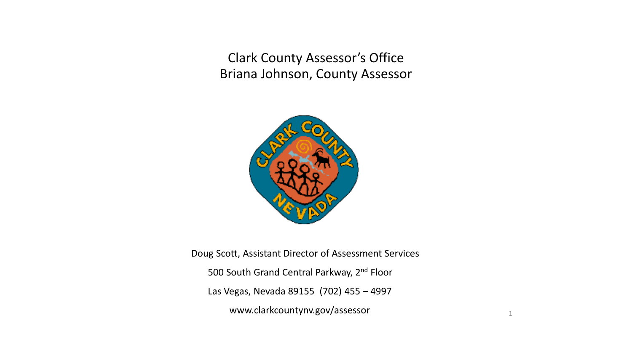Clark County Assessor's Office Briana Johnson, County Assessor



Doug Scott, Assistant Director of Assessment Services 500 South Grand Central Parkway, 2<sup>nd</sup> Floor Las Vegas, Nevada 89155 (702) 455 – 4997 www.clarkcountynv.gov/assessor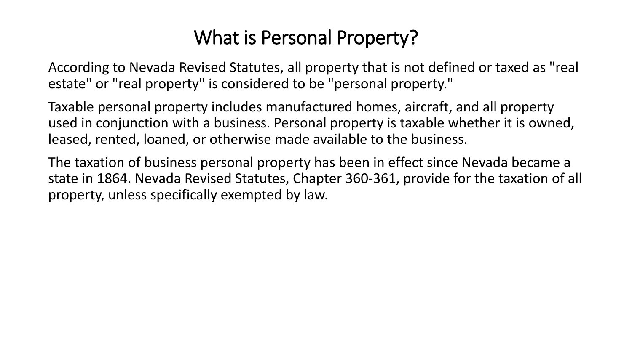## What is Personal Property?

According to Nevada Revised Statutes, all property that is not defined or taxed as "real estate" or "real property" is considered to be "personal property."

Taxable personal property includes manufactured homes, aircraft, and all property used in conjunction with a business. Personal property is taxable whether it is owned, leased, rented, loaned, or otherwise made available to the business.

The taxation of business personal property has been in effect since Nevada became a state in 1864. Nevada Revised Statutes, Chapter 360-361, provide for the taxation of all property, unless specifically exempted by law.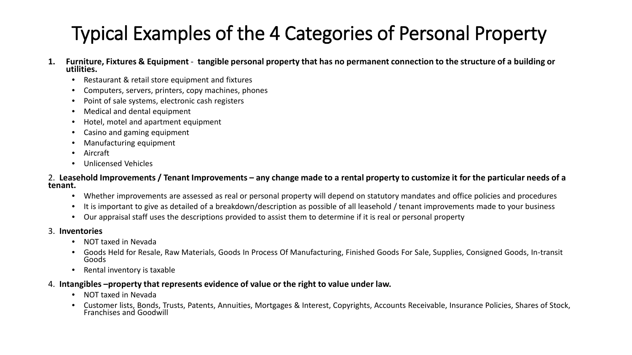## Typical Examples of the 4 Categories of Personal Property

- **1. Furniture, Fixtures & Equipment tangible personal property that has no permanent connection to the structure of a building or utilities.** 
	- Restaurant & retail store equipment and fixtures
	- Computers, servers, printers, copy machines, phones
	- Point of sale systems, electronic cash registers
	- Medical and dental equipment
	- Hotel, motel and apartment equipment
	- Casino and gaming equipment
	- Manufacturing equipment
	- Aircraft
	- Unlicensed Vehicles

#### 2. **Leasehold Improvements / Tenant Improvements – any change made to a rental property to customize it for the particular needs of a tenant.**

- Whether improvements are assessed as real or personal property will depend on statutory mandates and office policies and procedures
- It is important to give as detailed of a breakdown/description as possible of all leasehold / tenant improvements made to your business
- Our appraisal staff uses the descriptions provided to assist them to determine if it is real or personal property

#### 3. **Inventories**

- NOT taxed in Nevada
- Goods Held for Resale, Raw Materials, Goods In Process Of Manufacturing, Finished Goods For Sale, Supplies, Consigned Goods, In-transit Goods
- Rental inventory is taxable

#### 4. **Intangibles –property that represents evidence of value or the right to value under law.**

- NOT taxed in Nevada
- Customer lists, Bonds, Trusts, Patents, Annuities, Mortgages & Interest, Copyrights, Accounts Receivable, Insurance Policies, Shares of Stock, Franchises and Goodwill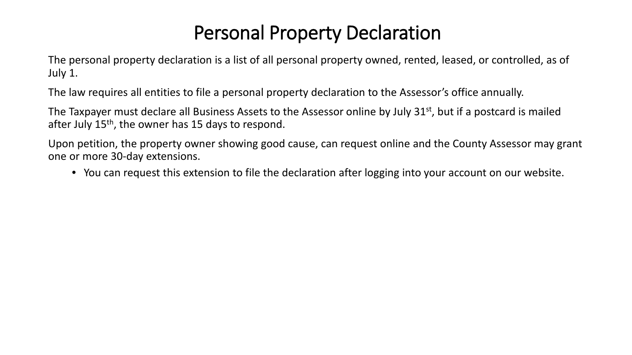## Personal Property Declaration

The personal property declaration is a list of all personal property owned, rented, leased, or controlled, as of July 1.

The law requires all entities to file a personal property declaration to the Assessor's office annually.

The Taxpayer must declare all Business Assets to the Assessor online by July 31<sup>st</sup>, but if a postcard is mailed after July  $15<sup>th</sup>$ , the owner has 15 days to respond.

Upon petition, the property owner showing good cause, can request online and the County Assessor may grant one or more 30-day extensions.

• You can request this extension to file the declaration after logging into your account on our website.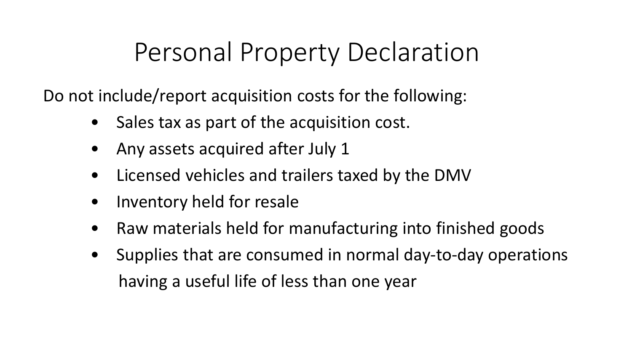# Personal Property Declaration

Do not include/report acquisition costs for the following:

- Sales tax as part of the acquisition cost.
- Any assets acquired after July 1
- Licensed vehicles and trailers taxed by the DMV
- Inventory held for resale
- Raw materials held for manufacturing into finished goods
- Supplies that are consumed in normal day-to-day operations having a useful life of less than one year